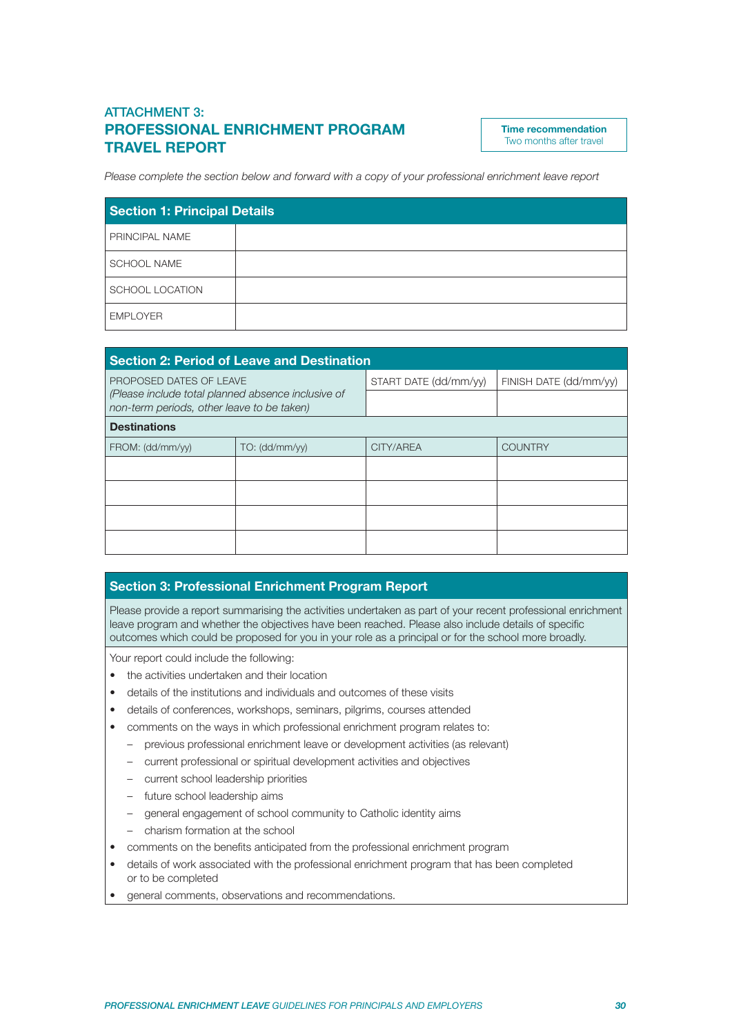## ATTACHMENT 3: **PROFESSIONAL ENRICHMENT PROGRAM TRAVEL REPORT**

**Time recommendation** Two months after travel

*Please complete the section below and forward with a copy of your professional enrichment leave report* 

| <b>Section 1: Principal Details</b> |  |  |
|-------------------------------------|--|--|
| <b>PRINCIPAL NAME</b>               |  |  |
| <b>SCHOOL NAME</b>                  |  |  |
| <b>SCHOOL LOCATION</b>              |  |  |
| <b>EMPLOYER</b>                     |  |  |

| <b>Section 2: Period of Leave and Destination</b>                             |                |                       |                        |  |
|-------------------------------------------------------------------------------|----------------|-----------------------|------------------------|--|
| PROPOSED DATES OF LEAVE<br>(Please include total planned absence inclusive of |                | START DATE (dd/mm/yy) | FINISH DATE (dd/mm/yy) |  |
| non-term periods, other leave to be taken)                                    |                |                       |                        |  |
| <b>Destinations</b>                                                           |                |                       |                        |  |
| FROM: (dd/mm/yy)                                                              | TO: (dd/mm/vv) | CITY/AREA             | <b>COUNTRY</b>         |  |
|                                                                               |                |                       |                        |  |
|                                                                               |                |                       |                        |  |
|                                                                               |                |                       |                        |  |
|                                                                               |                |                       |                        |  |

## **Section 3: Professional Enrichment Program Report**

Please provide a report summarising the activities undertaken as part of your recent professional enrichment leave program and whether the objectives have been reached. Please also include details of specific outcomes which could be proposed for you in your role as a principal or for the school more broadly.

Your report could include the following:

- the activities undertaken and their location
- details of the institutions and individuals and outcomes of these visits
- details of conferences, workshops, seminars, pilgrims, courses attended
- comments on the ways in which professional enrichment program relates to:
	- previous professional enrichment leave or development activities (as relevant)
	- current professional or spiritual development activities and objectives
	- current school leadership priorities
	- future school leadership aims
	- general engagement of school community to Catholic identity aims
	- charism formation at the school
- comments on the benefits anticipated from the professional enrichment program
- details of work associated with the professional enrichment program that has been completed or to be completed
- general comments, observations and recommendations.